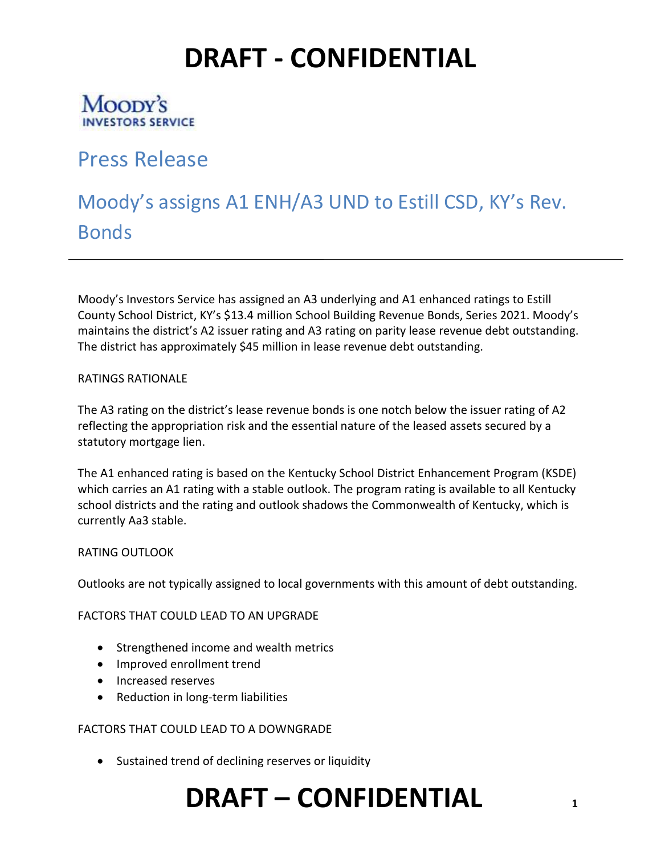### Moopy's **INVESTORS SERVICE**

### Press Release

## Moody's assigns A1 ENH/A3 UND to Estill CSD, KY's Rev. **Bonds**

Moody's Investors Service has assigned an A3 underlying and A1 enhanced ratings to Estill County School District, KY's \$13.4 million School Building Revenue Bonds, Series 2021. Moody's maintains the district's A2 issuer rating and A3 rating on parity lease revenue debt outstanding. The district has approximately \$45 million in lease revenue debt outstanding.

#### RATINGS RATIONALE

The A3 rating on the district's lease revenue bonds is one notch below the issuer rating of A2 reflecting the appropriation risk and the essential nature of the leased assets secured by a statutory mortgage lien.

The A1 enhanced rating is based on the Kentucky School District Enhancement Program (KSDE) which carries an A1 rating with a stable outlook. The program rating is available to all Kentucky school districts and the rating and outlook shadows the Commonwealth of Kentucky, which is currently Aa3 stable.

#### RATING OUTLOOK

Outlooks are not typically assigned to local governments with this amount of debt outstanding.

FACTORS THAT COULD LEAD TO AN UPGRADE

- Strengthened income and wealth metrics
- Improved enrollment trend
- Increased reserves
- Reduction in long-term liabilities

#### FACTORS THAT COULD LEAD TO A DOWNGRADE

• Sustained trend of declining reserves or liquidity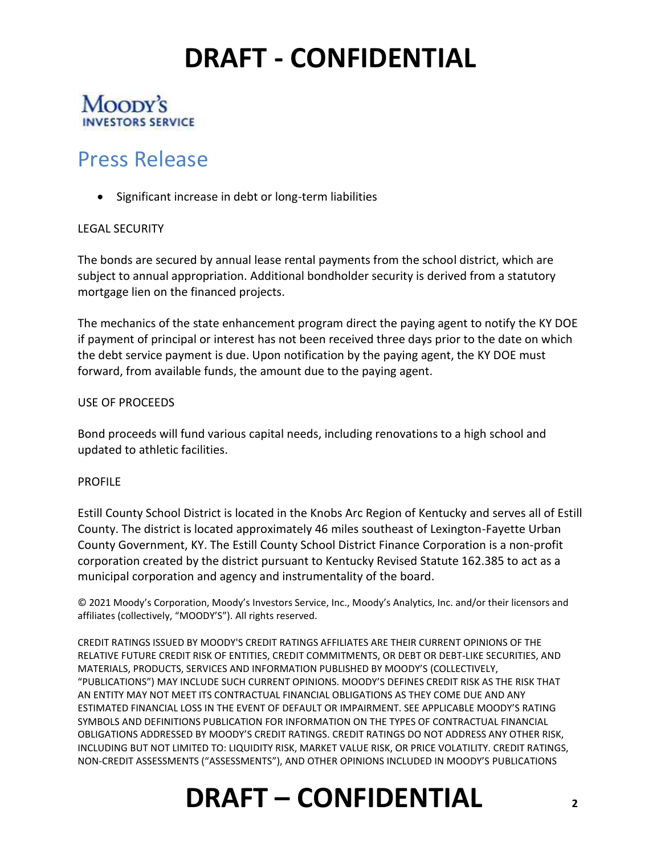#### Moopy's **INVESTORS SERVICE**

### Press Release

• Significant increase in debt or long-term liabilities

#### LEGAL SECURITY

The bonds are secured by annual lease rental payments from the school district, which are subject to annual appropriation. Additional bondholder security is derived from a statutory mortgage lien on the financed projects.

The mechanics of the state enhancement program direct the paying agent to notify the KY DOE if payment of principal or interest has not been received three days prior to the date on which the debt service payment is due. Upon notification by the paying agent, the KY DOE must forward, from available funds, the amount due to the paying agent.

#### USE OF PROCEEDS

Bond proceeds will fund various capital needs, including renovations to a high school and updated to athletic facilities.

#### PROFILE

Estill County School District is located in the Knobs Arc Region of Kentucky and serves all of Estill County. The district is located approximately 46 miles southeast of Lexington-Fayette Urban County Government, KY. The Estill County School District Finance Corporation is a non-profit corporation created by the district pursuant to Kentucky Revised Statute 162.385 to act as a municipal corporation and agency and instrumentality of the board.

© 2021 Moody's Corporation, Moody's Investors Service, Inc., Moody's Analytics, Inc. and/or their licensors and affiliates (collectively, "MOODY'S"). All rights reserved.

CREDIT RATINGS ISSUED BY MOODY'S CREDIT RATINGS AFFILIATES ARE THEIR CURRENT OPINIONS OF THE RELATIVE FUTURE CREDIT RISK OF ENTITIES, CREDIT COMMITMENTS, OR DEBT OR DEBT-LIKE SECURITIES, AND MATERIALS, PRODUCTS, SERVICES AND INFORMATION PUBLISHED BY MOODY'S (COLLECTIVELY, "PUBLICATIONS") MAY INCLUDE SUCH CURRENT OPINIONS. MOODY'S DEFINES CREDIT RISK AS THE RISK THAT AN ENTITY MAY NOT MEET ITS CONTRACTUAL FINANCIAL OBLIGATIONS AS THEY COME DUE AND ANY ESTIMATED FINANCIAL LOSS IN THE EVENT OF DEFAULT OR IMPAIRMENT. SEE APPLICABLE MOODY'S RATING SYMBOLS AND DEFINITIONS PUBLICATION FOR INFORMATION ON THE TYPES OF CONTRACTUAL FINANCIAL OBLIGATIONS ADDRESSED BY MOODY'S CREDIT RATINGS. CREDIT RATINGS DO NOT ADDRESS ANY OTHER RISK, INCLUDING BUT NOT LIMITED TO: LIQUIDITY RISK, MARKET VALUE RISK, OR PRICE VOLATILITY. CREDIT RATINGS, NON-CREDIT ASSESSMENTS ("ASSESSMENTS"), AND OTHER OPINIONS INCLUDED IN MOODY'S PUBLICATIONS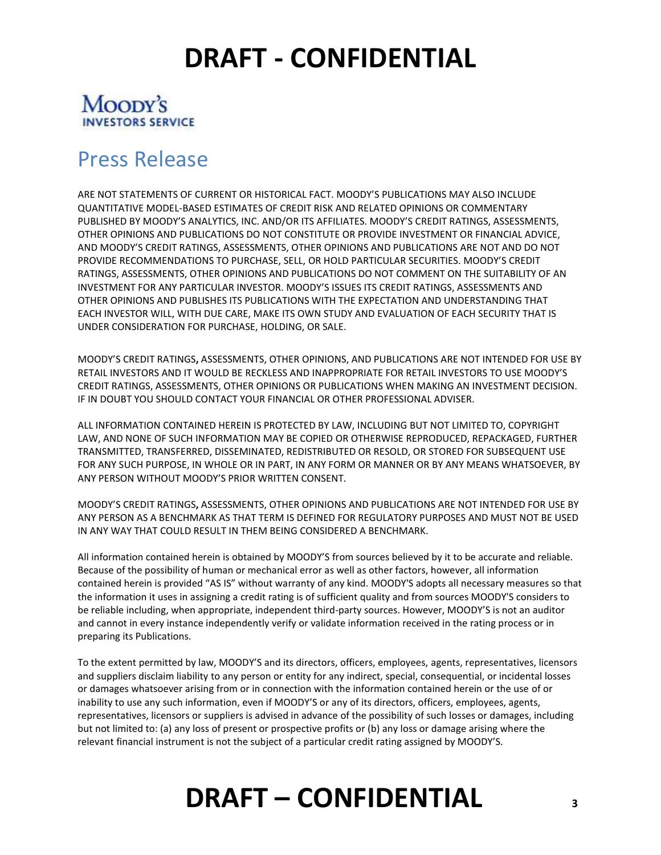#### Moopy's **INVESTORS SERVICE**

### Press Release

ARE NOT STATEMENTS OF CURRENT OR HISTORICAL FACT. MOODY'S PUBLICATIONS MAY ALSO INCLUDE QUANTITATIVE MODEL-BASED ESTIMATES OF CREDIT RISK AND RELATED OPINIONS OR COMMENTARY PUBLISHED BY MOODY'S ANALYTICS, INC. AND/OR ITS AFFILIATES. MOODY'S CREDIT RATINGS, ASSESSMENTS, OTHER OPINIONS AND PUBLICATIONS DO NOT CONSTITUTE OR PROVIDE INVESTMENT OR FINANCIAL ADVICE, AND MOODY'S CREDIT RATINGS, ASSESSMENTS, OTHER OPINIONS AND PUBLICATIONS ARE NOT AND DO NOT PROVIDE RECOMMENDATIONS TO PURCHASE, SELL, OR HOLD PARTICULAR SECURITIES. MOODY'S CREDIT RATINGS, ASSESSMENTS, OTHER OPINIONS AND PUBLICATIONS DO NOT COMMENT ON THE SUITABILITY OF AN INVESTMENT FOR ANY PARTICULAR INVESTOR. MOODY'S ISSUES ITS CREDIT RATINGS, ASSESSMENTS AND OTHER OPINIONS AND PUBLISHES ITS PUBLICATIONS WITH THE EXPECTATION AND UNDERSTANDING THAT EACH INVESTOR WILL, WITH DUE CARE, MAKE ITS OWN STUDY AND EVALUATION OF EACH SECURITY THAT IS UNDER CONSIDERATION FOR PURCHASE, HOLDING, OR SALE.

MOODY'S CREDIT RATINGS**,** ASSESSMENTS, OTHER OPINIONS, AND PUBLICATIONS ARE NOT INTENDED FOR USE BY RETAIL INVESTORS AND IT WOULD BE RECKLESS AND INAPPROPRIATE FOR RETAIL INVESTORS TO USE MOODY'S CREDIT RATINGS, ASSESSMENTS, OTHER OPINIONS OR PUBLICATIONS WHEN MAKING AN INVESTMENT DECISION. IF IN DOUBT YOU SHOULD CONTACT YOUR FINANCIAL OR OTHER PROFESSIONAL ADVISER.

ALL INFORMATION CONTAINED HEREIN IS PROTECTED BY LAW, INCLUDING BUT NOT LIMITED TO, COPYRIGHT LAW, AND NONE OF SUCH INFORMATION MAY BE COPIED OR OTHERWISE REPRODUCED, REPACKAGED, FURTHER TRANSMITTED, TRANSFERRED, DISSEMINATED, REDISTRIBUTED OR RESOLD, OR STORED FOR SUBSEQUENT USE FOR ANY SUCH PURPOSE, IN WHOLE OR IN PART, IN ANY FORM OR MANNER OR BY ANY MEANS WHATSOEVER, BY ANY PERSON WITHOUT MOODY'S PRIOR WRITTEN CONSENT.

MOODY'S CREDIT RATINGS**,** ASSESSMENTS, OTHER OPINIONS AND PUBLICATIONS ARE NOT INTENDED FOR USE BY ANY PERSON AS A BENCHMARK AS THAT TERM IS DEFINED FOR REGULATORY PURPOSES AND MUST NOT BE USED IN ANY WAY THAT COULD RESULT IN THEM BEING CONSIDERED A BENCHMARK.

All information contained herein is obtained by MOODY'S from sources believed by it to be accurate and reliable. Because of the possibility of human or mechanical error as well as other factors, however, all information contained herein is provided "AS IS" without warranty of any kind. MOODY'S adopts all necessary measures so that the information it uses in assigning a credit rating is of sufficient quality and from sources MOODY'S considers to be reliable including, when appropriate, independent third-party sources. However, MOODY'S is not an auditor and cannot in every instance independently verify or validate information received in the rating process or in preparing its Publications.

To the extent permitted by law, MOODY'S and its directors, officers, employees, agents, representatives, licensors and suppliers disclaim liability to any person or entity for any indirect, special, consequential, or incidental losses or damages whatsoever arising from or in connection with the information contained herein or the use of or inability to use any such information, even if MOODY'S or any of its directors, officers, employees, agents, representatives, licensors or suppliers is advised in advance of the possibility of such losses or damages, including but not limited to: (a) any loss of present or prospective profits or (b) any loss or damage arising where the relevant financial instrument is not the subject of a particular credit rating assigned by MOODY'S.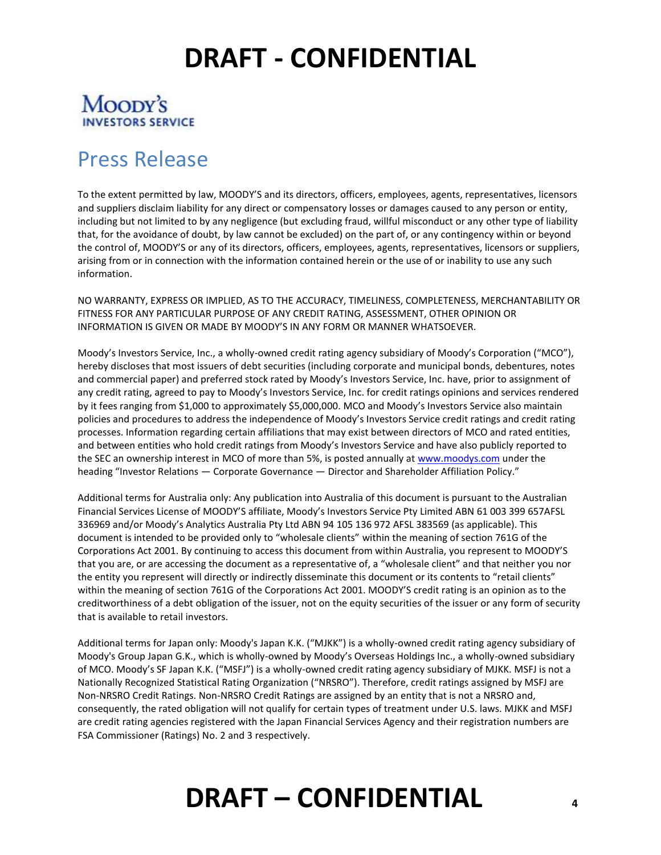### Moopy's **INVESTORS SERVICE**

## Press Release

To the extent permitted by law, MOODY'S and its directors, officers, employees, agents, representatives, licensors and suppliers disclaim liability for any direct or compensatory losses or damages caused to any person or entity, including but not limited to by any negligence (but excluding fraud, willful misconduct or any other type of liability that, for the avoidance of doubt, by law cannot be excluded) on the part of, or any contingency within or beyond the control of, MOODY'S or any of its directors, officers, employees, agents, representatives, licensors or suppliers, arising from or in connection with the information contained herein or the use of or inability to use any such information.

NO WARRANTY, EXPRESS OR IMPLIED, AS TO THE ACCURACY, TIMELINESS, COMPLETENESS, MERCHANTABILITY OR FITNESS FOR ANY PARTICULAR PURPOSE OF ANY CREDIT RATING, ASSESSMENT, OTHER OPINION OR INFORMATION IS GIVEN OR MADE BY MOODY'S IN ANY FORM OR MANNER WHATSOEVER.

Moody's Investors Service, Inc., a wholly-owned credit rating agency subsidiary of Moody's Corporation ("MCO"), hereby discloses that most issuers of debt securities (including corporate and municipal bonds, debentures, notes and commercial paper) and preferred stock rated by Moody's Investors Service, Inc. have, prior to assignment of any credit rating, agreed to pay to Moody's Investors Service, Inc. for credit ratings opinions and services rendered by it fees ranging from \$1,000 to approximately \$5,000,000. MCO and Moody's Investors Service also maintain policies and procedures to address the independence of Moody's Investors Service credit ratings and credit rating processes. Information regarding certain affiliations that may exist between directors of MCO and rated entities, and between entities who hold credit ratings from Moody's Investors Service and have also publicly reported to the SEC an ownership interest in MCO of more than 5%, is posted annually at [www.moodys.com](http://www.moodys.com/) under the heading "Investor Relations — Corporate Governance — Director and Shareholder Affiliation Policy."

Additional terms for Australia only: Any publication into Australia of this document is pursuant to the Australian Financial Services License of MOODY'S affiliate, Moody's Investors Service Pty Limited ABN 61 003 399 657AFSL 336969 and/or Moody's Analytics Australia Pty Ltd ABN 94 105 136 972 AFSL 383569 (as applicable). This document is intended to be provided only to "wholesale clients" within the meaning of section 761G of the Corporations Act 2001. By continuing to access this document from within Australia, you represent to MOODY'S that you are, or are accessing the document as a representative of, a "wholesale client" and that neither you nor the entity you represent will directly or indirectly disseminate this document or its contents to "retail clients" within the meaning of section 761G of the Corporations Act 2001. MOODY'S credit rating is an opinion as to the creditworthiness of a debt obligation of the issuer, not on the equity securities of the issuer or any form of security that is available to retail investors.

Additional terms for Japan only: Moody's Japan K.K. ("MJKK") is a wholly-owned credit rating agency subsidiary of Moody's Group Japan G.K., which is wholly-owned by Moody's Overseas Holdings Inc., a wholly-owned subsidiary of MCO. Moody's SF Japan K.K. ("MSFJ") is a wholly-owned credit rating agency subsidiary of MJKK. MSFJ is not a Nationally Recognized Statistical Rating Organization ("NRSRO"). Therefore, credit ratings assigned by MSFJ are Non-NRSRO Credit Ratings. Non-NRSRO Credit Ratings are assigned by an entity that is not a NRSRO and, consequently, the rated obligation will not qualify for certain types of treatment under U.S. laws. MJKK and MSFJ are credit rating agencies registered with the Japan Financial Services Agency and their registration numbers are FSA Commissioner (Ratings) No. 2 and 3 respectively.